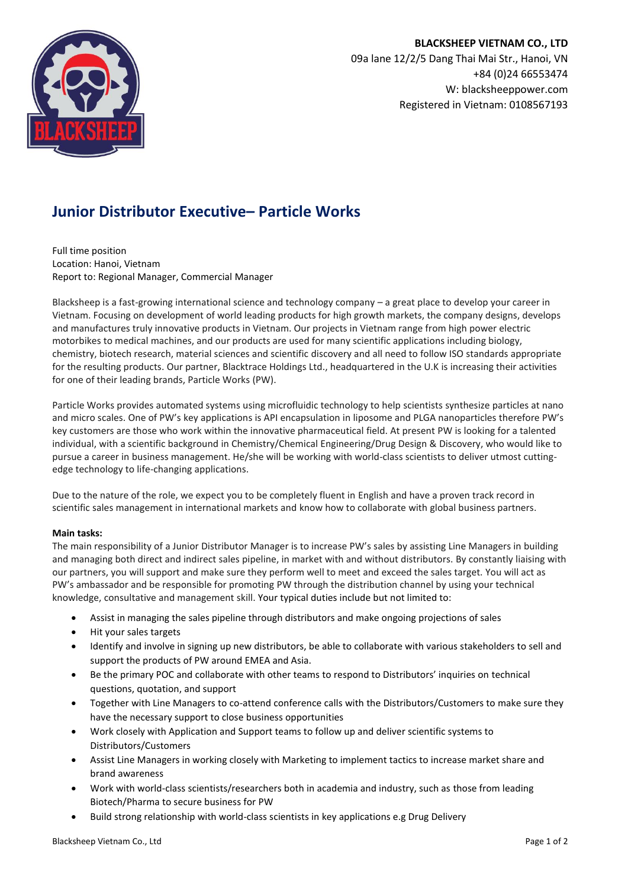

# **Junior Distributor Executive– Particle Works**

Full time position Location: Hanoi, Vietnam Report to: Regional Manager, Commercial Manager

Blacksheep is a fast-growing international science and technology company – a great place to develop your career in Vietnam. Focusing on development of world leading products for high growth markets, the company designs, develops and manufactures truly innovative products in Vietnam. Our projects in Vietnam range from high power electric motorbikes to medical machines, and our products are used for many scientific applications including biology, chemistry, biotech research, material sciences and scientific discovery and all need to follow ISO standards appropriate for the resulting products. Our partner, Blacktrace Holdings Ltd., headquartered in the U.K is increasing their activities for one of their leading brands, Particle Works (PW).

Particle Works provides automated systems using microfluidic technology to help scientists synthesize particles at nano and micro scales. One of PW's key applications is API encapsulation in liposome and PLGA nanoparticles therefore PW's key customers are those who work within the innovative pharmaceutical field. At present PW is looking for a talented individual, with a scientific background in Chemistry/Chemical Engineering/Drug Design & Discovery, who would like to pursue a career in business management. He/she will be working with world-class scientists to deliver utmost cuttingedge technology to life-changing applications.

Due to the nature of the role, we expect you to be completely fluent in English and have a proven track record in scientific sales management in international markets and know how to collaborate with global business partners.

## **Main tasks:**

The main responsibility of a Junior Distributor Manager is to increase PW's sales by assisting Line Managers in building and managing both direct and indirect sales pipeline, in market with and without distributors. By constantly liaising with our partners, you will support and make sure they perform well to meet and exceed the sales target. You will act as PW's ambassador and be responsible for promoting PW through the distribution channel by using your technical knowledge, consultative and management skill. Your typical duties include but not limited to:

- Assist in managing the sales pipeline through distributors and make ongoing projections of sales
- Hit your sales targets
- Identify and involve in signing up new distributors, be able to collaborate with various stakeholders to sell and support the products of PW around EMEA and Asia.
- Be the primary POC and collaborate with other teams to respond to Distributors' inquiries on technical questions, quotation, and support
- Together with Line Managers to co-attend conference calls with the Distributors/Customers to make sure they have the necessary support to close business opportunities
- Work closely with Application and Support teams to follow up and deliver scientific systems to Distributors/Customers
- Assist Line Managers in working closely with Marketing to implement tactics to increase market share and brand awareness
- Work with world-class scientists/researchers both in academia and industry, such as those from leading Biotech/Pharma to secure business for PW
- Build strong relationship with world-class scientists in key applications e.g Drug Delivery